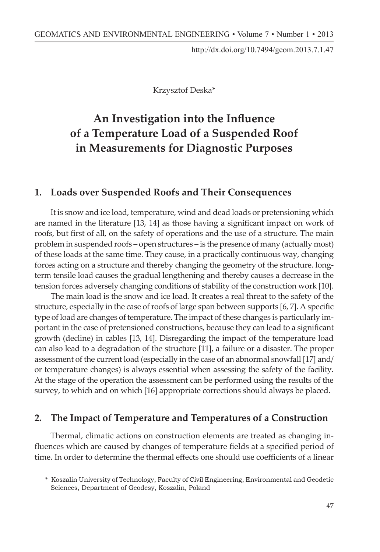http://dx.doi.org/10.7494/geom.2013.7.1.47

Krzysztof Deska\*

## An Investigation into the Influence **Applied in Surveying of a Temperature Load of a Suspended Roof in Measurements for Diagnostic Purposes**

# **1. Introduction 1. Loads over Suspended Roofs and Their Consequences**

It is snow and ice load, temperature, wind and dead loads or pretensioning which are named in the literature [13, 14] as those having a significant impact on work of roofs, but first of all, on the safety of operations and the use of a structure. The main problem in suspended roofs – open structures – is the presence of many (actually most) process relies the relies on the process of the processes of these loads at the same time. They cause, in a practically continuous way, changing forces acting on a structure and thereby changing the geometry of the structure. longterm tensile load causes the gradual lengthening and thereby causes a decrease in the term tensile load causes the gradual lengthening and thereby causes a decrease in the samples analysed in astronomical research, containing several thousands of mea-tension forces adversely changing conditions of stability of the construction work [10].

The main load is the snow and ice load. It creates a real threat to the safety of the expecially in the case of roofs of large span between supports [6, 7]. A specific type of load are changes of temperature. The impact of these changes is particularly important in the case of pretensioned constructions, because they can lead to a significant growth (decline) in cables [13, 14]. Disregarding the impact of the temperature load can also lead to a degradation of the structure [11], a failure or a disaster. The proper assessment of the current load (especially in the case of an abnormal snowfall [17] and/ or temperature changes) is always essential when assessing the safety of the facility. At the stage of the operation the assessment can be performed using the results of the  $\frac{1}{2}$ survey, to which and on which [16] appropriate corrections should always be placed.

#### 2. The Impact of Temperature and Temperatures of a Construction

 $p$  is conducted and followed by tests. The observation is conducted and followed by tests. The observa-Thermal, climatic actions on construction elements are treated as changing influences which are caused by changes of temperature fields at a specified period of time. In order to determine the thermal effects one should use coefficients of a linear

<sup>\*</sup> Koszalin University of Technology, Faculty of Civil Engineering, Environmental and Geodetic Sciences, Department of Geodesy, Koszalin, Poland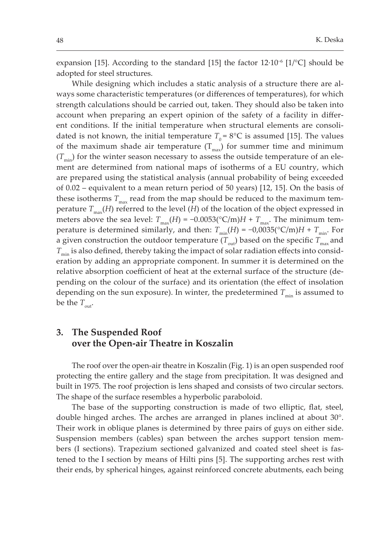expansion [15]. According to the standard [15] the factor  $12.10^{-6}$  [1/°C] should be adopted for steel structures.

While designing which includes a static analysis of a structure there are always some characteristic temperatures (or differences of temperatures), for which strength calculations should be carried out, taken. They should also be taken into account when preparing an expert opinion of the safety of a facility in different conditions. If the initial temperature when structural elements are consolidated is not known, the initial temperature  $T_0 = 8$ °C is assumed [15]. The values of the maximum shade air temperature  $(T_{max})$  for summer time and minimum  $(T_{\text{min}})$  for the winter season necessary to assess the outside temperature of an element are determined from national maps of isotherms of a EU country, which are prepared using the statistical analysis (annual probability of being exceeded of 0.02 – equivalent to a mean return period of 50 years) [12, 15]. On the basis of these isotherms  $T_{\text{max}}$  read from the map should be reduced to the maximum temperature  $T_{\text{max}}(H)$  referred to the level (*H*) of the location of the object expressed in meters above the sea level:  $T_{\text{max}}(H) = -0.0053(^{\circ}\text{C/m})H + T_{\text{max}}$ . The minimum temperature is determined similarly, and then:  $T_{min}(H) = -0.0035(^{\circ}C/m)H + T_{min}$ . For a given construction the outdoor temperature  $(T_{out})$  based on the specific  $T_{max}$  and  $T_{\rm min}$  is also defined, thereby taking the impact of solar radiation effects into consideration by adding an appropriate component. In summer it is determined on the relative absorption coefficient of heat at the external surface of the structure (depending on the colour of the surface) and its orientation (the effect of insolation depending on the sun exposure). In winter, the predetermined  $T_{\min}$  is assumed to be the  $T_{\text{out}}$ .

## 3. The Suspended Roof over the Open-air Theatre in Koszalin

The roof over the open-air theatre in Koszalin (Fig. 1) is an open suspended roof protecting the entire gallery and the stage from precipitation. It was designed and built in 1975. The roof projection is lens shaped and consists of two circular sectors. The shape of the surface resembles a hyperbolic paraboloid.

The base of the supporting construction is made of two elliptic, flat, steel, double hinged arches. The arches are arranged in planes inclined at about  $30^{\circ}$ . Their work in oblique planes is determined by three pairs of guys on either side. Suspension members (cables) span between the arches support tension members (I sections). Trapezium sectioned galvanized and coated steel sheet is fastened to the I section by means of Hilti pins [5]. The supporting arches rest with their ends, by spherical hinges, against reinforced concrete abutments, each being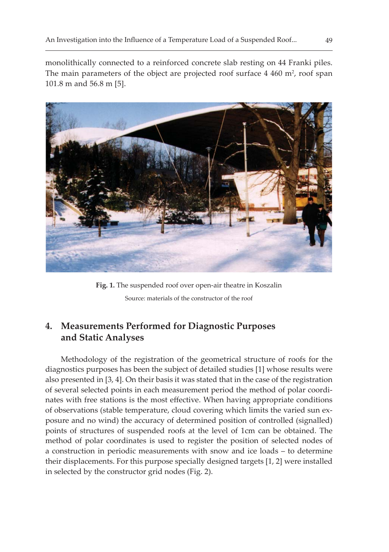monolithically connected to a reinforced concrete slab resting on 44 Franki piles. The main parameters of the object are projected roof surface 4 460 m<sup>2</sup>, roof span  $101.8$  m and  $56.8$  m  $[5]$ .



Fig. 1. The suspended roof over open-air theatre in Koszalin Source: materials of the constructor of the roof

## 4. Measurements Performed for Diagnostic Purposes and Static Analyses

Methodology of the registration of the geometrical structure of roofs for the diagnostics purposes has been the subject of detailed studies [1] whose results were also presented in [3, 4]. On their basis it was stated that in the case of the registration of several selected points in each measurement period the method of polar coordinates with free stations is the most effective. When having appropriate conditions of observations (stable temperature, cloud covering which limits the varied sun exposure and no wind) the accuracy of determined position of controlled (signalled) points of structures of suspended roofs at the level of 1cm can be obtained. The method of polar coordinates is used to register the position of selected nodes of a construction in periodic measurements with snow and ice loads – to determine their displacements. For this purpose specially designed targets [1, 2] were installed in selected by the constructor grid nodes (Fig. 2).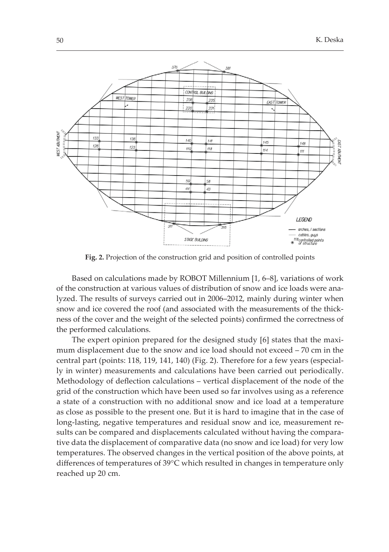

Fig. 2. Projection of the construction grid and position of controlled points

Based on calculations made by ROBOT Millennium [1, 6-8], variations of work of the construction at various values of distribution of snow and ice loads were analyzed. The results of surveys carried out in 2006–2012, mainly during winter when show and ice covered the roof (and associated with the measurements of the thickness of the cover and the weight of the selected points) confirmed the correctness of the performed calculations.

The expert opinion prepared for the designed study [6] states that the maximum displacement due to the snow and ice load should not exceed – 70 cm in the central part (points: 118, 119, 141, 140) (Fig. 2). Therefore for a few years (especially in winter) measurements and calculations have been carried out periodically. Methodology of deflection calculations – vertical displacement of the node of the grid of the construction which have been used so far involves using as a reference a state of a construction with no additional snow and ice load at a temperature as close as possible to the present one. But it is hard to imagine that in the case of long-lasting, negative temperatures and residual snow and ice, measurement results can be compared and displacements calculated without having the comparative data the displacement of comparative data (no snow and ice load) for very low temperatures. The observed changes in the vertical position of the above points, at differences of temperatures of 39°C which resulted in changes in temperature only reached up 20 cm.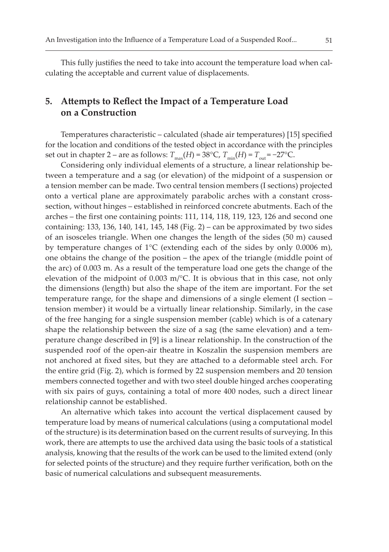This fully justifies the need to take into account the temperature load when calculating the acceptable and current value of displacements.

### 5. Attempts to Reflect the Impact of a Temperature Load on a Construction

Temperatures characteristic - calculated (shade air temperatures) [15] specified for the location and conditions of the tested object in accordance with the principles set out in chapter 2 – are as follows:  $T_{\text{max}}(H)$  = 38°C,  $T_{\text{min}}(H)$  =  $T_{\text{out}}$  = –27°C.

Considering only individual elements of a structure, a linear relationship between a temperature and a sag (or elevation) of the midpoint of a suspension or a tension member can be made. Two central tension members (I sections) projected onto a vertical plane are approximately parabolic arches with a constant crosssection, without hinges – established in reinforced concrete abutments. Each of the arches – the first one containing points: 111, 114, 118, 119, 123, 126 and second one containing: 133, 136, 140, 141, 145, 148 (Fig. 2) - can be approximated by two sides of an isosceles triangle. When one changes the length of the sides (50 m) caused by temperature changes of 1°C (extending each of the sides by only 0.0006 m), one obtains the change of the position – the apex of the triangle (middle point of the arc) of 0.003 m. As a result of the temperature load one gets the change of the elevation of the midpoint of 0.003 m/°C. It is obvious that in this case, not only the dimensions (length) but also the shape of the item are important. For the set temperature range, for the shape and dimensions of a single element (I section tension member) it would be a virtually linear relationship. Similarly, in the case of the free hanging for a single suspension member (cable) which is of a catenary shape the relationship between the size of a sag (the same elevation) and a temperature change described in [9] is a linear relationship. In the construction of the suspended roof of the open-air theatre in Koszalin the suspension members are not anchored at fixed sites, but they are attached to a deformable steel arch. For the entire grid (Fig. 2), which is formed by 22 suspension members and 20 tension members connected together and with two steel double hinged arches cooperating with six pairs of guys, containing a total of more 400 nodes, such a direct linear relationship cannot be established.

An alternative which takes into account the vertical displacement caused by temperature load by means of numerical calculations (using a computational model of the structure) is its determination based on the current results of surveying. In this work, there are attempts to use the archived data using the basic tools of a statistical analysis, knowing that the results of the work can be used to the limited extend (only for selected points of the structure) and they require further verification, both on the basic of numerical calculations and subsequent measurements.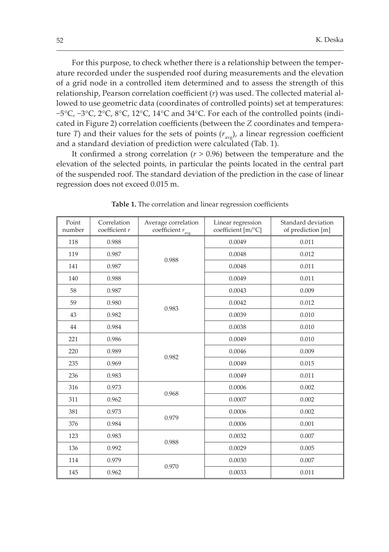For this purpose, to check whether there is a relationship between the temperature recorded under the suspended roof during measurements and the elevation of a grid node in a controlled item determined and to assess the strength of this relationship, Pearson correlation coefficient  $(r)$  was used. The collected material allowed to use geometric data (coordinates of controlled points) set at temperatures: −5°C, −3°C, 2°C, 8°C, 12°C, 14°C and 34°C. For each of the controlled points (indicated in Figure 2) correlation coefficients (between the Z coordinates and temperature *T*) and their values for the sets of points  $(r_{avg})$ , a linear regression coefficient and a standard deviation of prediction were calculated (Tab. 1).

It confirmed a strong correlation ( $r > 0.96$ ) between the temperature and the elevation of the selected points, in particular the points located in the central part of the suspended roof. The standard deviation of the prediction in the case of linear regression does not exceed 0.015 m.

| Point<br>number | Correlation<br>coefficient $r$ | Average correlation<br>coefficient $r_{\text{avg}}$ | Linear regression<br>coefficient [m/°C] | Standard deviation<br>of prediction [m] |
|-----------------|--------------------------------|-----------------------------------------------------|-----------------------------------------|-----------------------------------------|
| 118             | 0.988                          | 0.988                                               | 0.0049                                  | 0.011                                   |
| 119             | 0.987                          |                                                     | 0.0048                                  | 0.012                                   |
| 141             | 0.987                          |                                                     | 0.0048                                  | 0.011                                   |
| 140             | 0.988                          |                                                     | 0.0049                                  | 0.011                                   |
| 58              | 0.987                          | 0.983                                               | 0.0043                                  | 0.009                                   |
| 59              | 0.980                          |                                                     | 0.0042                                  | 0.012                                   |
| 43              | 0.982                          |                                                     | 0.0039                                  | 0.010                                   |
| 44              | 0.984                          |                                                     | 0.0038                                  | 0.010                                   |
| 221             | 0.986                          | 0.982                                               | 0.0049                                  | 0.010                                   |
| 220             | 0.989                          |                                                     | 0.0046                                  | 0.009                                   |
| 235             | 0.969                          |                                                     | 0.0049                                  | 0.015                                   |
| 236             | 0.983                          |                                                     | 0.0049                                  | 0.011                                   |
| 316             | 0.973                          | 0.968                                               | 0.0006                                  | 0.002                                   |
| 311             | 0.962                          |                                                     | 0.0007                                  | 0.002                                   |
| 381             | 0.973                          | 0.979                                               | 0.0006                                  | 0.002                                   |
| 376             | 0.984                          |                                                     | 0.0006                                  | 0.001                                   |
| 123             | 0.983                          |                                                     | 0.0032                                  | 0.007                                   |
| 136             | 0.992                          | 0.988                                               | 0.0029                                  | 0.005                                   |
| 114             | 0.979                          | 0.970                                               | 0.0030                                  | 0.007                                   |
| 145             | 0.962                          |                                                     | 0.0033                                  | 0.011                                   |

Table 1. The correlation and linear regression coefficients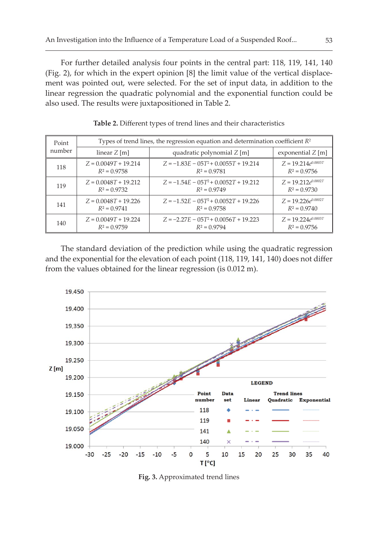For further detailed analysis four points in the central part: 118, 119, 141, 140 (Fig. 2), for which in the expert opinion [8] the limit value of the vertical displacement was pointed out, were selected. For the set of input data, in addition to the linear regression the quadratic polynomial and the exponential function could be also used. The results were juxtapositioned in Table 2.

| Point  | Types of trend lines, the regression equation and determination coefficient $R^2$ |                                                           |                         |  |
|--------|-----------------------------------------------------------------------------------|-----------------------------------------------------------|-------------------------|--|
| number | linear $Z$ [m]                                                                    | quadratic polynomial $Z$ [m]                              | exponential $Z$ [m]     |  |
| 118    | $Z = 0.0049T + 19.214$<br>$R^2 = 0.9758$                                          | $Z = -1.83E - 05T^2 + 0.0055T + 19.214$<br>$R^2 = 0.9781$ |                         |  |
| 119    | $Z = 0.0048T + 19.212$                                                            | $Z = -1.54E - 0.0052T + 19.212$                           | $Z = 19.212e^{0.0002T}$ |  |
|        | $R^2 = 0.9732$                                                                    | $R^2 = 0.9749$                                            | $R^2 = 0.9730$          |  |
| 141    | $Z = 0.0048T + 19.226$                                                            | $Z = -1.52E - 0.0052T + 19.226$                           | $Z = 19.226e^{0.0002T}$ |  |
|        | $R^2 = 0.9741$                                                                    | $R^2 = 0.9758$                                            | $R^2 = 0.9740$          |  |
| 140    | $Z = 0.0049T + 19.224$                                                            | $Z = -2.27E - 0.072 + 0.0056T + 19.223$                   | $Z = 19.224e^{0.0003T}$ |  |
|        | $R^2 = 0.9759$                                                                    | $R^2 = 0.9794$                                            | $R^2 = 0.9756$          |  |

Table 2. Different types of trend lines and their characteristics

The standard deviation of the prediction while using the quadratic regression and the exponential for the elevation of each point (118, 119, 141, 140) does not differ from the values obtained for the linear regression (is 0.012 m).



Fig. 3. Approximated trend lines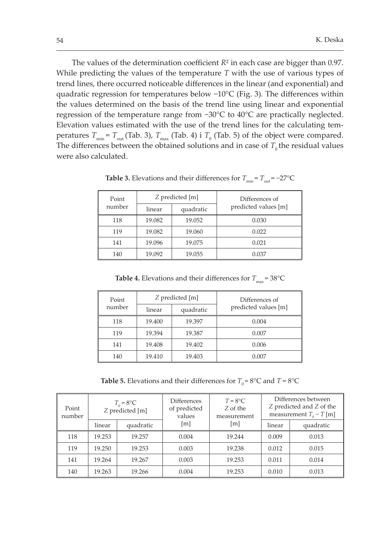The values of the determination coefficient  $R^2$  in each case are bigger than 0.97. While predicting the values of the temperature  $T$  with the use of various types of trend lines, there occurred noticeable differences in the linear (and exponential) and quadratic regression for temperatures below  $-10^{\circ}C$  (Fig. 3). The differences within the values determined on the basis of the trend line using linear and exponential regression of the temperature range from -30°C to 40°C are practically neglected. Elevation values estimated with the use of the trend lines for the calculating temperatures  $T_{\text{min}} = T_{\text{out}}$  (Tab. 3),  $T_{\text{max}}$  (Tab. 4) i  $T_0$  (Tab. 5) of the object were compared. The differences between the obtained solutions and in case of  $T_0$  the residual values were also calculated.

| Point  |        | Z predicted [m] | Differences of       |  |
|--------|--------|-----------------|----------------------|--|
| number | linear | quadratic       | predicted values [m] |  |
| 118    | 19.082 | 19.052          | 0.030                |  |
| 119    | 19.082 | 19.060          | 0.022                |  |
| 141    | 19.096 | 19.075          | 0.021                |  |
| 140    | 19.092 | 19.055          | 0.037                |  |

**Table 3.** Elevations and their differences for  $T_{\text{min}} = T_{\text{out}} = -27$ °C

**Table 4.** Elevations and their differences for  $T_{\text{max}} = 38^{\circ} \text{C}$ 

| Point  | Z predicted [m] |           | Differences of       |  |
|--------|-----------------|-----------|----------------------|--|
| number | linear          | quadratic | predicted values [m] |  |
| 118    | 19.400          | 19.397    | 0.004                |  |
| 119    | 19.394          | 19.387    | 0.007                |  |
| 141    | 19.408          | 19.402    | 0.006                |  |
| 140    | 19.410          | 19.403    | 0.007                |  |

**Table 5.** Elevations and their differences for  $T_0 = 8^\circ \text{C}$  and  $T = 8^\circ \text{C}$ 

| Point<br>number | $T_0 = 8$ °C<br>Z predicted [m] |           | <b>Differences</b><br>of predicted<br>values | $T = 8^{\circ}C$<br>Z of the<br>measurement | Differences between<br>Z predicted and Z of the<br>measurement $T_0 - T$ [m] |           |
|-----------------|---------------------------------|-----------|----------------------------------------------|---------------------------------------------|------------------------------------------------------------------------------|-----------|
|                 | linear                          | quadratic | [m]                                          | [m]                                         | linear                                                                       | quadratic |
| 118             | 19.253                          | 19.257    | 0.004                                        | 19.244                                      | 0.009                                                                        | 0.013     |
| 119             | 19.250                          | 19.253    | 0.003                                        | 19.238                                      | 0.012                                                                        | 0.015     |
| 141             | 19.264                          | 19.267    | 0.003                                        | 19.253                                      | 0.011                                                                        | 0.014     |
| 140             | 19.263                          | 19.266    | 0.004                                        | 19.253                                      | 0.010                                                                        | 0.013     |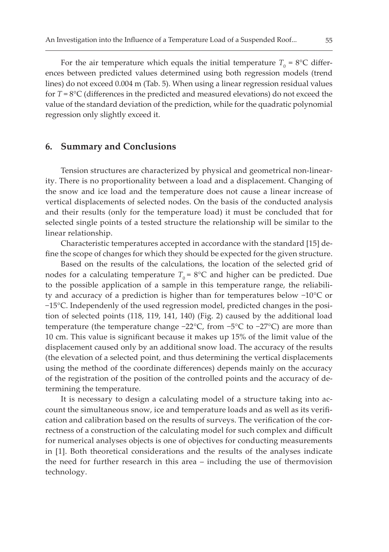For the air temperature which equals the initial temperature  $T_{0}$  = 8°C differences between predicted values determined using both regression models (trend lines) do not exceed 0.004 m (Tab. 5). When using a linear regression residual values for  $T = 8^{\circ}C$  (differences in the predicted and measured elevations) do not exceed the value of the standard deviation of the prediction, while for the quadratic polynomial regression only slightly exceed it.

#### 6. Summary and Conclusions

Tension structures are characterized by physical and geometrical non-linearity. There is no proportionality between a load and a displacement. Changing of the snow and ice load and the temperature does not cause a linear increase of vertical displacements of selected nodes. On the basis of the conducted analysis and their results (only for the temperature load) it must be concluded that for selected single points of a tested structure the relationship will be similar to the linear relationship.

Characteristic temperatures accepted in accordance with the standard [15] define the scope of changes for which they should be expected for the given structure.

Based on the results of the calculations, the location of the selected grid of nodes for a calculating temperature  $T_0 = 8$ °C and higher can be predicted. Due to the possible application of a sample in this temperature range, the reliability and accuracy of a prediction is higher than for temperatures below  $-10^{\circ}$ C or -15°C. Independenly of the used regression model, predicted changes in the position of selected points (118, 119, 141, 140) (Fig. 2) caused by the additional load temperature (the temperature change  $-22^{\circ}C$ , from  $-5^{\circ}C$  to  $-27^{\circ}C$ ) are more than 10 cm. This value is significant because it makes up 15% of the limit value of the displacement caused only by an additional snow load. The accuracy of the results (the elevation of a selected point, and thus determining the vertical displacements using the method of the coordinate differences) depends mainly on the accuracy of the registration of the position of the controlled points and the accuracy of determining the temperature.

It is necessary to design a calculating model of a structure taking into account the simultaneous snow, ice and temperature loads and as well as its verification and calibration based on the results of surveys. The verification of the correctness of a construction of the calculating model for such complex and difficult for numerical analyses objects is one of objectives for conducting measurements in [1]. Both theoretical considerations and the results of the analyses indicate the need for further research in this area - including the use of thermovision technology.